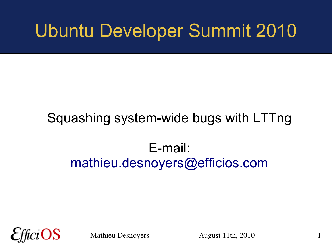## Ubuntu Developer Summit 2010

### Squashing system-wide bugs with LTTng

### E-mail: [mathieu.desnoyers@efficios.com](mailto:mathieu.desnoyers@efficios.com)

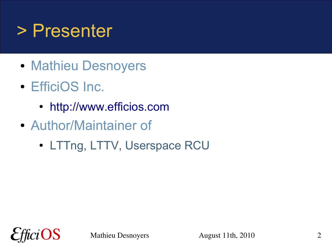## > Presenter

- Mathieu Desnoyers
- EfficiOS Inc.
	- [http://www.efficios.com](http://www.efficios.com/)
- Author/Maintainer of
	- LTTng, LTTV, Userspace RCU

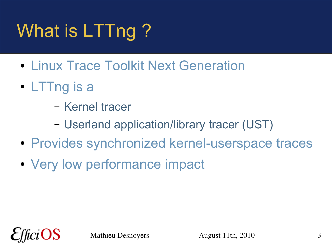# What is LTTng?

- Linux Trace Toolkit Next Generation
- LTTng is a
	- Kernel tracer
	- Userland application/library tracer (UST)
- Provides synchronized kernel-userspace traces
- Very low performance impact

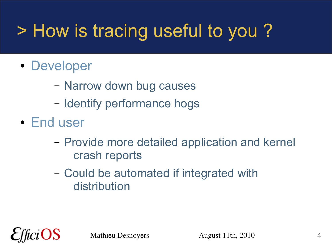# > How is tracing useful to you ?

- Developer
	- Narrow down bug causes
	- Identify performance hogs
- End user
	- Provide more detailed application and kernel crash reports
	- Could be automated if integrated with distribution

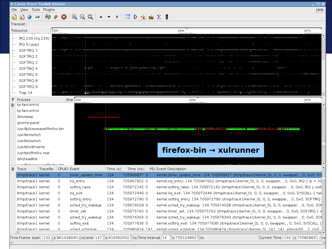Eile View Tools Plugins

#### **AA+-10000001. xx100±x28** Traceset

| 11 acc 3 c L |                                                                             |                           |                   |                                                                 |                                            |                                                                                                                                                      |                                                                                                                                 |  |  |
|--------------|-----------------------------------------------------------------------------|---------------------------|-------------------|-----------------------------------------------------------------|--------------------------------------------|------------------------------------------------------------------------------------------------------------------------------------------------------|---------------------------------------------------------------------------------------------------------------------------------|--|--|
| Resource     |                                                                             | 132s<br>140s<br>171120010 |                   |                                                                 |                                            |                                                                                                                                                      |                                                                                                                                 |  |  |
|              | IRQ 239 [irq 239]<br>IRQ 9 [acpi]<br>SOFTIRQ 1                              |                           |                   |                                                                 |                                            |                                                                                                                                                      |                                                                                                                                 |  |  |
|              | SOFTIRQ 2                                                                   |                           |                   |                                                                 |                                            |                                                                                                                                                      |                                                                                                                                 |  |  |
|              | SOFTIRQ 3                                                                   |                           |                   |                                                                 |                                            |                                                                                                                                                      |                                                                                                                                 |  |  |
|              | SOFTIRQ 4<br>SOFTIRQ 6                                                      |                           |                   |                                                                 |                                            |                                                                                                                                                      |                                                                                                                                 |  |  |
|              | SOFTIRQ 8                                                                   |                           |                   |                                                                 |                                            |                                                                                                                                                      |                                                                                                                                 |  |  |
|              | SOFTIRQ 9                                                                   |                           |                   |                                                                 |                                            |                                                                                                                                                      |                                                                                                                                 |  |  |
|              | Trap 14                                                                     |                           | <b>Q</b> IIII     | $\mathbf{H}$ and $\mathbf{H}$ and $\mathbf{H}$ and $\mathbf{H}$ | $\mathbf{1}$ , $\mathbf{1}$ , $\mathbf{1}$ |                                                                                                                                                      |                                                                                                                                 |  |  |
|              |                                                                             |                           | Brar 132s         |                                                                 |                                            |                                                                                                                                                      |                                                                                                                                 |  |  |
|              | ? Process<br>p tp-fancontrol                                                |                           | 051390030-        |                                                                 |                                            | 140s<br>220000486                                                                                                                                    | 147s<br>$\overline{r}$ $\overline{r}$ $\overline{r}$ $\overline{r}$ $\overline{r}$ $\overline{r}$ $\overline{r}$ $\overline{r}$ |  |  |
|              | tp-fancontrol                                                               |                           |                   |                                                                 |                                            |                                                                                                                                                      |                                                                                                                                 |  |  |
|              | /bin/sleep                                                                  |                           |                   |                                                                 |                                            |                                                                                                                                                      |                                                                                                                                 |  |  |
|              | gnome-panel                                                                 |                           |                   |                                                                 |                                            |                                                                                                                                                      |                                                                                                                                 |  |  |
|              | /usr/lib/iceweasel/firefox-bin                                              |                           |                   |                                                                 |                                            | <b>THE HILL BEE</b><br>.<br>----                                                                                                                     |                                                                                                                                 |  |  |
|              | /usr/bin/which                                                              |                           |                   |                                                                 |                                            |                                                                                                                                                      |                                                                                                                                 |  |  |
|              | /usr/bin/which                                                              |                           |                   |                                                                 |                                            |                                                                                                                                                      |                                                                                                                                 |  |  |
|              | /usr/bin/dirname                                                            |                           |                   |                                                                 |                                            | firefox-bin $\rightarrow$ xulrunner                                                                                                                  |                                                                                                                                 |  |  |
|              | /usr/bin/firefox.real                                                       |                           |                   |                                                                 |                                            |                                                                                                                                                      |                                                                                                                                 |  |  |
|              | /bin/readlink                                                               |                           |                   |                                                                 |                                            |                                                                                                                                                      |                                                                                                                                 |  |  |
|              | luarllih licovungaal lfirafov, hin<br>Tracefile<br>$\mathbf{\hat{v}}$ Trace |                           | CPUID Event       | Time (s)                                                        | Time (ns)                                  | PID Event Description                                                                                                                                |                                                                                                                                 |  |  |
|              | /tmp/trace1 kernel                                                          | 0                         | timer update time | 134                                                             | 705966837 0                                | kernel.timer update time: 134.705966837 (/tmp/trace1/kernel 0), 0, 0, swapper, , 0, 0x0, SY!                                                         |                                                                                                                                 |  |  |
|              | /tmp/trace1 kernel                                                          | O                         | irq_entry         | 134                                                             | 705967922 0                                | kernel.irq_entry: 134.705967922 (/tmp/trace1/kernel_0), 0, 0, swapper, , 0, 0x0, IRQ { ip = 32                                                       |                                                                                                                                 |  |  |
|              | /tmp/trace1 kernel                                                          | 0                         | softirq raise     | 134                                                             | 705972142 0                                | kernel.softirq raise: 134.705972142 (/tmp/trace1/kernel 0), 0, 0, swapper, , 0, 0x0, IRQ { soft                                                      |                                                                                                                                 |  |  |
|              | /tmp/trace1 kernel                                                          | 0                         | irq_exit          | 134                                                             | 705972446 0                                | kernel.irq_exit: 134.705972446 (/tmp/trace1/kernel_0), 0, 0, swapper, , 0, 0x0, SYSCALL { har                                                        |                                                                                                                                 |  |  |
|              | /tmp/trace1 kernel                                                          | 0                         | softirq_entry     | 134                                                             | 705972790 0                                | kernel.softirq entry: 134.705972790 (/tmp/trace1/kernel 0), 0, 0, swapper, , 0, 0x0, SOFTIRQ                                                         |                                                                                                                                 |  |  |
|              | /tmp/trace1 kernel                                                          |                           | sched_try_wakeup  | 134                                                             | 705974028 0                                | kernel.sched_try_wakeup: 134.705974028 (/tmp/trace1/kernel_0), 0, 0, swapper, , 0, 0x0, SOF                                                          |                                                                                                                                 |  |  |
|              | /tmp/trace1 kernel                                                          |                           | timer_set         | 134                                                             | 705975763 0                                | kernel.timer_set: 134.705975763 (/tmp/trace1/kernel_0), 0, 0, swapper, , 0, 0x0, SOFTIRQ { e                                                         |                                                                                                                                 |  |  |
|              | /tmp/trace1 kernel                                                          | 0                         | sched_try_wakeup  | 134                                                             | 705976393 0                                | kernel.sched_try_wakeup: 134.705976393 (/tmp/trace1/kernel_0), 0, 0, swapper, , 0, 0x0, SOF                                                          |                                                                                                                                 |  |  |
|              | /tmp/trace1 kernel                                                          | O                         | softirg exit      | 134                                                             | 705977636 0                                | kernel.softirq exit: 134.705977636 (/tmp/trace1/kernel_0), 0, 0, swapper, , 0, 0x0, SYSCALL {                                                        |                                                                                                                                 |  |  |
|              | /tmn/trace1 kernel                                                          | U                         | sched schedule    | 134                                                             | 705980424 141                              | kernel sched schedule: 134 705980424 (/tmn/trace1/kernel 0) 141 141 kblockd/0 - 2 0x0                                                                |                                                                                                                                 |  |  |
|              |                                                                             |                           |                   |                                                                 |                                            | lime Frame_start:  132 - s 861438040 - ns end: 147 - s 616562932 - ns Time Interval: 14 - - s 755124892 - ns<br>Current Time: 134 ÷ s 705828651 ÷ ns | $\blacktriangleright$ $\blacktriangleright$                                                                                     |  |  |
|              |                                                                             |                           |                   |                                                                 |                                            |                                                                                                                                                      |                                                                                                                                 |  |  |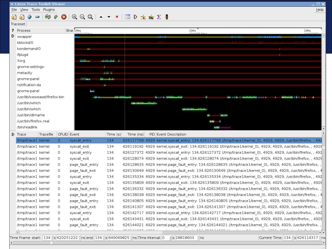Eile View Tools Plugins

 $\overline{\bullet}$ 

#### $= | \otimes \circ \mathbf{O} | \odot \odot \odot \mathbf{O} | - - \times | \equiv \mathbf{D} \pm \mathbf{N} \Sigma |$ 内

|  | Traceset                       |           |         |                  |                       |           |  |                                                                                                                |  |
|--|--------------------------------|-----------|---------|------------------|-----------------------|-----------|--|----------------------------------------------------------------------------------------------------------------|--|
|  | <b>Brar</b> 134s<br>? Process  |           |         |                  | 134s<br>134s<br>52255 |           |  |                                                                                                                |  |
|  | $\mathbf{D}$ swapper           |           |         |                  |                       |           |  | mm                                                                                                             |  |
|  | kblockd/0                      |           |         |                  |                       |           |  |                                                                                                                |  |
|  | kondemand/0                    |           |         |                  |                       |           |  |                                                                                                                |  |
|  | ifplugd                        |           |         |                  |                       |           |  |                                                                                                                |  |
|  | Xorg                           |           |         |                  | <b>THE BEA</b>        |           |  |                                                                                                                |  |
|  | gnome-settings-                |           |         |                  |                       |           |  |                                                                                                                |  |
|  | metacity                       |           |         |                  | n mar an              |           |  |                                                                                                                |  |
|  | gnome-panel                    |           |         | mm i             | m                     |           |  |                                                                                                                |  |
|  | notification-da                |           |         |                  |                       |           |  |                                                                                                                |  |
|  | gnome-panel                    |           |         | <b>The State</b> |                       |           |  |                                                                                                                |  |
|  | /usr/lib/iceweasel/firefox-bin |           |         |                  |                       |           |  | <b>BUILDER</b><br>.                                                                                            |  |
|  | /usr/bin/which                 |           |         |                  |                       |           |  |                                                                                                                |  |
|  | /usr/bin/which                 |           |         |                  |                       |           |  |                                                                                                                |  |
|  | /usr/bin/dirname               |           |         |                  |                       |           |  |                                                                                                                |  |
|  | /usr/bin/firefox.real          |           |         |                  |                       |           |  |                                                                                                                |  |
|  | /bin/readlink                  |           |         |                  |                       |           |  |                                                                                                                |  |
|  | $\mathbf{\hat{v}}$ Trace       | Tracefile |         | CPUID Event      | Time (s)              | Time (ns) |  | PID Event Description                                                                                          |  |
|  | /tmp/trace1 kernel             |           | $\circ$ | syscall entry    | 134                   |           |  | 626117769 4929 kernel.syscall entry: 134.626117769 (/tmp/trace1/kernel 0), 4929, 4929, /usr/bin/firefox, , 492 |  |
|  | /tmp/trace1 kernel             |           | O       | syscall exit     | 134                   |           |  | 626119192 4929 kernel.syscall_exit: 134.626119192 (/tmp/trace1/kernel_0), 4929, 4929, /usr/bin/firefox, , 4928 |  |
|  | /tmp/trace1 kernel             |           | 0       | syscall entry    | 134                   |           |  | 626127372 4929 kernel.syscall entry: 134.626127372 (/tmp/trace1/kernel 0), 4929, 4929, /usr/bin/firefox, , 492 |  |
|  | /tmp/trace1 kernel             |           | 0       | syscall_exit     | 134                   |           |  | 626128074 4929 kernel.syscall_exit: 134.626128074 (/tmp/trace1/kernel_0), 4929, 4929, /usr/bin/firefox, , 4926 |  |
|  | /tmp/trace1 kernel             |           | 0       | page_fault_entry | 134                   |           |  | 626128635 4929 kernel.page fault entry: 134.626128635 (/tmp/trace1/kernel 0), 4929, 4929, /usr/bin/firefox, ,  |  |
|  | /tmp/trace1 kernel             |           | 0       | page_fault_exit  | 134                   |           |  | 626130649 4929 kernel.page fault exit: 134.626130649 (/tmp/trace1/kernel 0), 4929, 4929, /usr/bin/firefox, , 4 |  |
|  | /tmp/trace1 kernel             |           | 0       | syscall_entry    | 134                   |           |  | 626135334 4929 kernel.syscall_entry: 134.626135334 (/tmp/trace1/kernel_0), 4929, 4929, /usr/bin/firefox, , 492 |  |
|  | /tmp/trace1 kernel             |           | 0       | syscall_exit     | 134                   |           |  | 626135809 4929 kernel.syscall exit: 134.626135809 (/tmp/trace1/kernel 0), 4929, 4929, /usr/bin/firefox, , 4928 |  |
|  | /tmp/trace1 kernel             |           | 0       | page fault entry | 134                   |           |  | 626136332 4929 kernel.page_fault_entry: 134.626136332 (/tmp/trace1/kernel_0), 4929, 4929, /usr/bin/firefox, ,  |  |
|  | /tmp/trace1 kernel             |           | O       | page_fault_exit  | 134                   |           |  | 626138038 4929 kernel.page fault exit: 134.626138038 (/tmp/trace1/kernel 0), 4929, 4929, /usr/bin/firefox, , 4 |  |
|  | /tmp/trace1 kernel             |           | O       | page_fault_entry | 134                   |           |  | 626140805 4929 kernel.page fault entry: 134.626140805 (/tmp/trace1/kernel 0), 4929, 4929, /usr/bin/firefox, ,  |  |
|  | /tmp/trace1 kernel             |           | O       | page_fault_exit  | 134                   |           |  | 626141307 4929 kernel.page fault exit: 134.626141307 (/tmp/trace1/kernel 0), 4929, 4929, /usr/bin/firefox, , 4 |  |
|  | /tmp/trace1 kernel             |           | 0       | syscall entry    | 134                   |           |  | 626142717 4929 kernel.syscall entry: 134.626142717 (/tmp/trace1/kernel 0), 4929, 4929, /usr/bin/firefox, , 492 |  |
|  | /tmp/trace1 kernel             |           | O       | syscall_exit     | 134                   |           |  | 626143431 4929 kernel.syscall exit: 134.626143431 (/tmp/trace1/kernel 0), 4929, 4929, /usr/bin/firefox, , 4926 |  |
|  | /tmp/trace1 kernel             |           | 0       | page fault entry | 134                   |           |  | ,626144021 4929 kernel.page fault entry: 134.626144021 (/tmp/trace1/kernel 0), 4929, 4929, /usr/bin/firefox, 6 |  |
|  | $\left  \cdot \right $         |           |         |                  |                       |           |  |                                                                                                                |  |

Mathieu Desnoyers August 1124 ÷ 1126 2025 - 121 ± 121 ± 121 ± 121 ± 121 ± 121 ± 121 ± 121 ± 121 ± 121 ± 121 ± 121 ± 12<br>Time Frame start: 134 ÷ 1260251222 ÷ ns end: 134 ÷ 126069825 ÷ ns Time Interval: 0

 $\overline{\phantom{a}}$ 

 $\Box$   $\times$  $He$ lp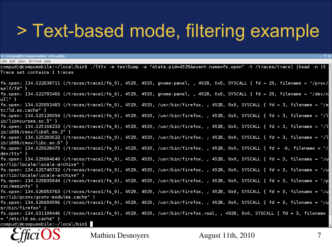### > Text-based mode, filtering example

 $\bullet$  compudi@compumobile:  $\sim$ /local/bin

File Edit View Terminal Help

compudj@compumobile:~/local/bin\$ ./lttv -m textDump -e "state.pid=4929&event.name=fs.open" -t /traces/trace1 |head -n 15 Trace set contains 1 traces

| fs.open: 134.622638711 (/traces/trace1/fs_0), 4929, 4929, gnome-panel, , 4928, 0x0, SYSCALL { fd = 29, filename = "/proc/<br>self/fd" } |  |
|-----------------------------------------------------------------------------------------------------------------------------------------|--|
| fs.open: 134.622783466 (/traces/trace1/fs_0), 4929, 4929, gnome-panel, , 4928, 0x0, SYSCALL { fd = 29, filename = "/dev/n<br>ull" }     |  |
| fs.open: 134.625092483 (/traces/trace1/fs_0), 4929, 4929, /usr/bin/firefox, , 4928, 0x0, SYSCALL { fd = 3, filename = "/e               |  |
| tc/ld.so.cache"                                                                                                                         |  |
| fs.open: 134.625120094 (/traces/trace1/fs_0), 4929, 4929, /usr/bin/firefox, , 4928, 0x0, SYSCALL { fd = 3, filename = "/l               |  |
| $ib/libncurses so.5"$ }                                                                                                                 |  |
| fs.open: 134.625168232 (/traces/trace1/fs_0), 4929, 4929, /usr/bin/firefox, , 4928, 0x0, SYSCALL { fd = 3, filename = "/l               |  |
| $ib/i686/cmov/libdl so.2"$ }                                                                                                            |  |
| fs.open: 134.625203622 (/traces/trace1/fs_0), 4929, 4929, /usr/bin/firefox, , 4928, 0x0, SYSCALL { fd = 3, filename = "/l               |  |
| $ib/i686/cmov/libe$ .so.6" }                                                                                                            |  |
| fs.open: 134.625628479 (/traces/trace1/fs_0), 4929, 4929, /usr/bin/firefox, , 4928, 0x0, SYSCALL { fd = -6, filename = "/               |  |
| $dev/tty"$ }                                                                                                                            |  |
| fs.open: 134.625684640 (/traces/trace1/fs_0), 4929, 4929, /usr/bin/firefox, , 4928, 0x0, SYSCALL { fd = 3, filename = "/u               |  |
| sr/lib/locale/locale-archive" }                                                                                                         |  |
| fs.open: 134.625740732 (/traces/trace1/fs_0), 4929, 4929, /usr/bin/firefox, , 4928, 0x0, SYSCALL { fd = 3, filename = "/u               |  |
| sr/lib/locale/locale-archive" }                                                                                                         |  |
| fs.open: 134.625835844 (/traces/trace1/fs_0), 4929, 4929, /usr/bin/firefox, , 4928, 0x0, SYSCALL { fd = 3, filename = "/p               |  |
| $roc/meminfo"$ }                                                                                                                        |  |
| fs.open: 134.626053763 (/traces/trace1/fs_0), 4929, 4929, /usr/bin/firefox, , 4928, 0x0, SYSCALL { fd = 3, filename = "/u               |  |
| $sr/lib/gconv/gconv-modelles cache"$ }                                                                                                  |  |
| fs.open: 134.626650096 (/traces/trace1/fs_0), 4929, 4929, /usr/bin/firefox, , 4928, 0x0, SYSCALL { fd = 3, filename = "/u               |  |
| sr/bin/firefox"                                                                                                                         |  |
| fs.open: 134.631100446 (/traces/trace1/fs_0), 4929, 4929, /usr/bin/firefox.real, , 4928, 0x0, SYSCALL { fd = 3, filename                |  |
| $=$ "/etc/ld.so.cache" }                                                                                                                |  |
| compudi@compumobile:~/local/bin\$                                                                                                       |  |

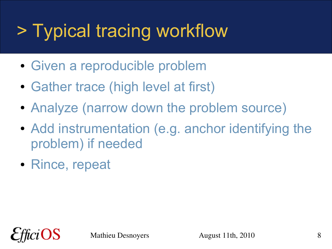# > Typical tracing workflow

- Given a reproducible problem
- Gather trace (high level at first)
- Analyze (narrow down the problem source)
- Add instrumentation (e.g. anchor identifying the problem) if needed
- Rince, repeat

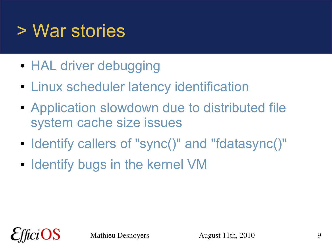## > War stories

- HAL driver debugging
- Linux scheduler latency identification
- Application slowdown due to distributed file system cache size issues
- Identify callers of "sync()" and "fdatasync()"
- Identify bugs in the kernel VM

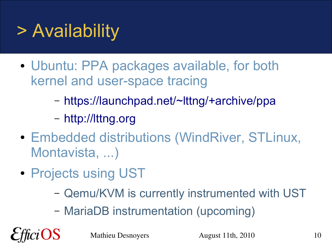## > Availability

- Ubuntu: PPA packages available, for both kernel and user-space tracing
	- <https://launchpad.net/~lttng/+archive/ppa>
	- [http://lttng.org](http://lttng.org/)
- Embedded distributions (WindRiver, STLinux, Montavista, ...)
- Projects using UST
	- Qemu/KVM is currently instrumented with UST
	- MariaDB instrumentation (upcoming)